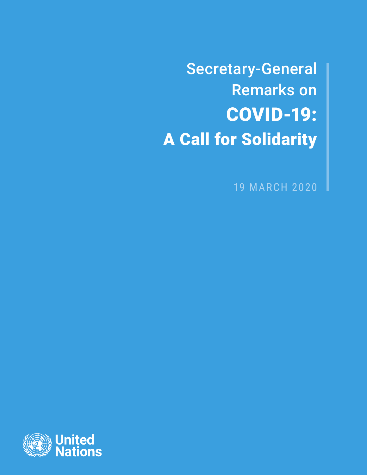Secretary-General Remarks on COVID-19: A Call for Solidarity

19 MARCH 2020

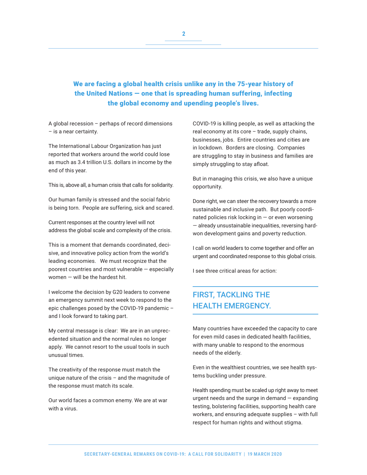## We are facing a global health crisis unlike any in the 75-year history of the United Nations — one that is spreading human suffering, infecting the global economy and upending people's lives.

A global recession – perhaps of record dimensions – is a near certainty.

The International Labour Organization has just reported that workers around the world could lose as much as 3.4 trillion U.S. dollars in income by the end of this year.

This is, above all, a human crisis that calls for solidarity.

Our human family is stressed and the social fabric is being torn. People are suffering, sick and scared.

Current responses at the country level will not address the global scale and complexity of the crisis.

This is a moment that demands coordinated, decisive, and innovative policy action from the world's leading economies. We must recognize that the poorest countries and most vulnerable — especially women — will be the hardest hit.

I welcome the decision by G20 leaders to convene an emergency summit next week to respond to the epic challenges posed by the COVID-19 pandemic – and I look forward to taking part.

My central message is clear: We are in an unprecedented situation and the normal rules no longer apply. We cannot resort to the usual tools in such unusual times.

The creativity of the response must match the unique nature of the crisis – and the magnitude of the response must match its scale.

Our world faces a common enemy. We are at war with a virus.

COVID-19 is killing people, as well as attacking the real economy at its core – trade, supply chains, businesses, jobs. Entire countries and cities are in lockdown. Borders are closing. Companies are struggling to stay in business and families are simply struggling to stay afloat.

But in managing this crisis, we also have a unique opportunity.

Done right, we can steer the recovery towards a more sustainable and inclusive path. But poorly coordinated policies risk locking in — or even worsening — already unsustainable inequalities, reversing hardwon development gains and poverty reduction.

I call on world leaders to come together and offer an urgent and coordinated response to this global crisis.

I see three critical areas for action:

## FIRST, TACKLING THE HEALTH EMERGENCY.

Many countries have exceeded the capacity to care for even mild cases in dedicated health facilities, with many unable to respond to the enormous needs of the elderly.

Even in the wealthiest countries, we see health systems buckling under pressure.

Health spending must be scaled up right away to meet urgent needs and the surge in demand — expanding testing, bolstering facilities, supporting health care workers, and ensuring adequate supplies – with full respect for human rights and without stigma.

**2**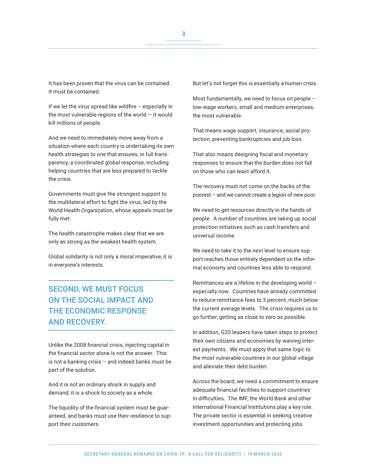It has been proven that the virus can be contained. It must be contained.

If we let the virus spread like wildfire – especially in the most vulnerable regions of the world  $-$  it would kill millions of people.

And we need to immediately move away from a situation where each country is undertaking its own health strategies to one that ensures, in full transparency, a coordinated global response, including helping countries that are less prepared to tackle the crisis.

Governments must give the strongest support to the multilateral effort to fight the virus, led by the World Health Organization, whose appeals must be fully met.

The health catastrophe makes clear that we are only as strong as the weakest health system.

Global solidarity is not only a moral imperative, it is in everyone's interests.

## SECOND, WE MUST FOCUS ON THE SOCIAL IMPACT AND THE ECONOMIC RESPONSE AND RECOVERY.

Unlike the 2008 financial crisis, injecting capital in the financial sector alone is not the answer. This is not a banking crisis – and indeed banks must be part of the solution.

And it is not an ordinary shock in supply and demand; it is a shock to society as a whole.

The liquidity of the financial system must be guaranteed, and banks must use their resilience to support their customers.

But let's not forget this is essentially a human crisis.

Most fundamentally, we need to focus on people – low-wage workers, small and medium enterprises, the most vulnerable.

That means wage support, insurance, social protection, preventing bankruptcies and job loss.

That also means designing fiscal and monetary responses to ensure that the burden does not fall on those who can least afford it.

The recovery must not come on the backs of the poorest – and we cannot create a legion of new poor.

We need to get resources directly in the hands of people. A number of countries are taking up social protection initiatives such as cash transfers and universal income.

We need to take it to the next level to ensure support reaches those entirely dependent on the informal economy and countries less able to respond.

Remittances are a lifeline in the developing world – especially now. Countries have already committed to reduce remittance fees to 3 percent, much below the current average levels. The crisis requires us to go further, getting as close to zero as possible.

In addition, G20 leaders have taken steps to protect their own citizens and economies by waiving interest payments. We must apply that same logic to the most vulnerable countries in our global village and alleviate their debt burden.

Across the board, we need a commitment to ensure adequate financial facilities to support countries in difficulties. The IMF, the World Bank and other International Financial Institutions play a key role. The private sector is essential in seeking creative investment opportunities and protecting jobs.

**3**